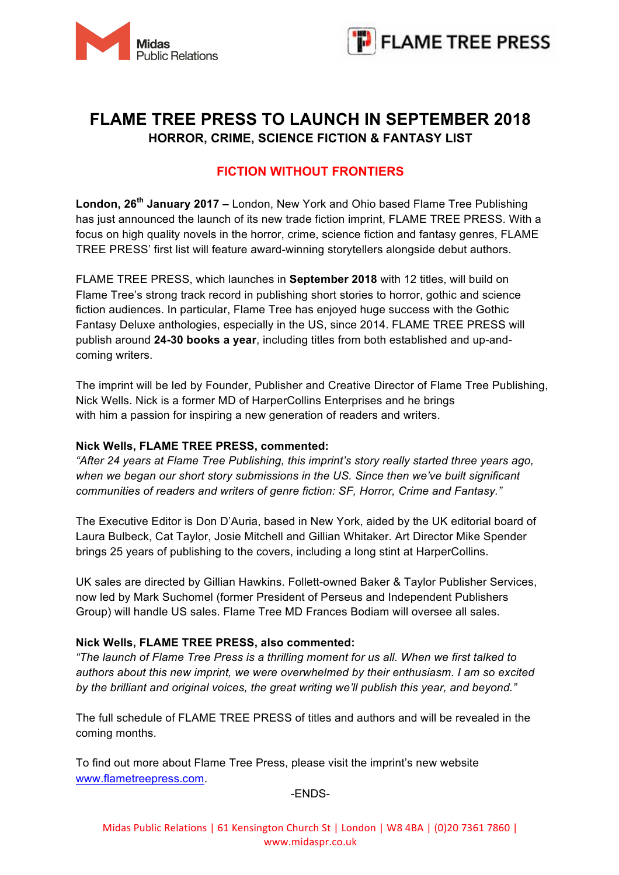



# **FLAME TREE PRESS TO LAUNCH IN SEPTEMBER 2018 HORROR, CRIME, SCIENCE FICTION & FANTASY LIST**

## **FICTION WITHOUT FRONTIERS**

**London, 26th January 2017 –** London, New York and Ohio based Flame Tree Publishing has just announced the launch of its new trade fiction imprint, FLAME TREE PRESS. With a focus on high quality novels in the horror, crime, science fiction and fantasy genres, FLAME TREE PRESS' first list will feature award-winning storytellers alongside debut authors.

FLAME TREE PRESS, which launches in **September 2018** with 12 titles, will build on Flame Tree's strong track record in publishing short stories to horror, gothic and science fiction audiences. In particular, Flame Tree has enjoyed huge success with the Gothic Fantasy Deluxe anthologies, especially in the US, since 2014. FLAME TREE PRESS will publish around **24-30 books a year**, including titles from both established and up-andcoming writers.

The imprint will be led by Founder, Publisher and Creative Director of Flame Tree Publishing, Nick Wells. Nick is a former MD of HarperCollins Enterprises and he brings with him a passion for inspiring a new generation of readers and writers.

## **Nick Wells, FLAME TREE PRESS, commented:**

*"After 24 years at Flame Tree Publishing, this imprint's story really started three years ago, when we began our short story submissions in the US. Since then we've built significant communities of readers and writers of genre fiction: SF, Horror, Crime and Fantasy."*

The Executive Editor is Don D'Auria, based in New York, aided by the UK editorial board of Laura Bulbeck, Cat Taylor, Josie Mitchell and Gillian Whitaker. Art Director Mike Spender brings 25 years of publishing to the covers, including a long stint at HarperCollins.

UK sales are directed by Gillian Hawkins. Follett-owned Baker & Taylor Publisher Services, now led by Mark Suchomel (former President of Perseus and Independent Publishers Group) will handle US sales. Flame Tree MD Frances Bodiam will oversee all sales.

## **Nick Wells, FLAME TREE PRESS, also commented:**

*"The launch of Flame Tree Press is a thrilling moment for us all. When we first talked to authors about this new imprint, we were overwhelmed by their enthusiasm. I am so excited by the brilliant and original voices, the great writing we'll publish this year, and beyond."*

The full schedule of FLAME TREE PRESS of titles and authors and will be revealed in the coming months.

To find out more about Flame Tree Press, please visit the imprint's new website www.flametreepress.com.

-ENDS-